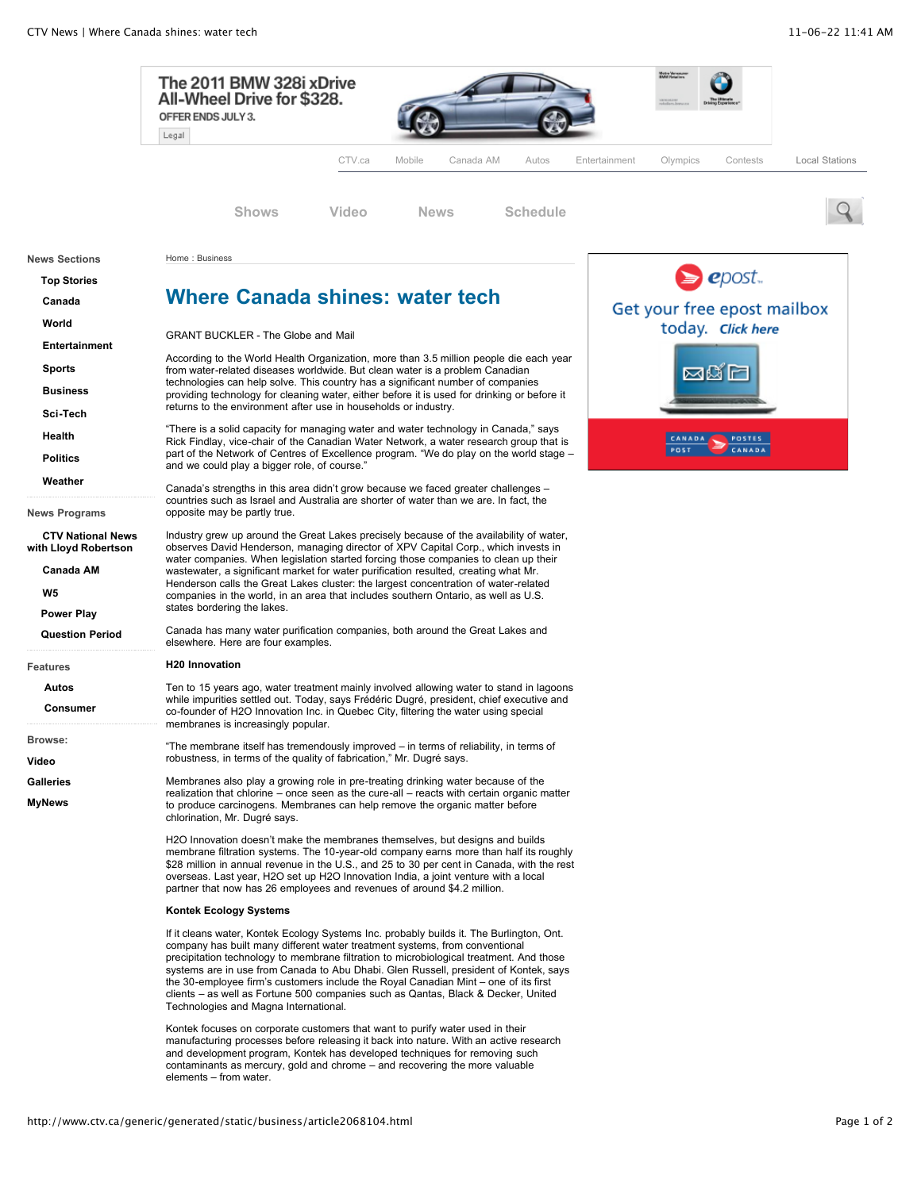

http://www.ctv.ca/generic/generated/static/business/article2068104.html Page 1 of 2

elements – from water.

contaminants as mercury, gold and chrome – and recovering the more valuable